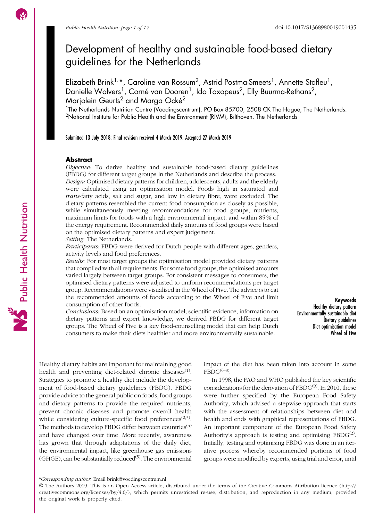# Development of healthy and sustainable food-based dietary guidelines for the Netherlands

Elizabeth Brink<sup>1,</sup>\*, Caroline van Rossum<sup>2</sup>, Astrid Postma-Smeets<sup>1</sup>, Annette Stafleu<sup>1</sup>, Danielle Wolvers<sup>1</sup>, Corné van Dooren<sup>1</sup>, Ido Toxopeus<sup>2</sup>, Elly Buurma-Rethans<sup>2</sup>, Marjolein Geurts<sup>2</sup> and Marga Ocké<sup>2</sup>

<sup>1</sup>The Netherlands Nutrition Centre (Voedingscentrum), PO Box 85700, 2508 CK The Hague, The Netherlands: <sup>2</sup>National Institute for Public Health and the Environment (RIVM), Bilthoven, The Netherlands

Submitted 13 July 2018: Final revision received 4 March 2019: Accepted 27 March 2019

#### **Abstract**

Objective: To derive healthy and sustainable food-based dietary guidelines (FBDG) for different target groups in the Netherlands and describe the process. Design: Optimised dietary patterns for children, adolescents, adults and the elderly were calculated using an optimisation model. Foods high in saturated and trans-fatty acids, salt and sugar, and low in dietary fibre, were excluded. The dietary patterns resembled the current food consumption as closely as possible, while simultaneously meeting recommendations for food groups, nutrients, maximum limits for foods with a high environmental impact, and within 85 % of the energy requirement. Recommended daily amounts of food groups were based on the optimised dietary patterns and expert judgement.

Setting: The Netherlands.

Participants: FBDG were derived for Dutch people with different ages, genders, activity levels and food preferences.

Results: For most target groups the optimisation model provided dietary patterns that complied with all requirements. For some food groups, the optimised amounts varied largely between target groups. For consistent messages to consumers, the optimised dietary patterns were adjusted to uniform recommendations per target group. Recommendations were visualised in the Wheel of Five. The advice is to eat the recommended amounts of foods according to the Wheel of Five and limit consumption of other foods.

Conclusions: Based on an optimisation model, scientific evidence, information on dietary patterns and expert knowledge, we derived FBDG for different target groups. The Wheel of Five is a key food-counselling model that can help Dutch consumers to make their diets healthier and more environmentally sustainable.

Keywords Healthy dietary pattern Environmentally sustainable diet Dietary guidelines Diet optimisation model Wheel of Five

Healthy dietary habits are important for maintaining good health and preventing diet-related chronic diseases $(1)$  $(1)$  $(1)$ . Strategies to promote a healthy diet include the development of food-based dietary guidelines (FBDG). FBDG provide advice to the general public on foods, food groups and dietary patterns to provide the required nutrients, prevent chronic diseases and promote overall health while considering culture-specific food preferences<sup> $(2,3)$  $(2,3)$  $(2,3)$  $(2,3)$  $(2,3)$ </sup>. The methods to develop FBDG differ between countries<sup> $(4)$ </sup> and have changed over time. More recently, awareness has grown that through adaptations of the daily diet, the environmental impact, like greenhouse gas emissions  $(GHGE)$ , can be substantially reduced<sup> $(5)$ </sup>. The environmental impact of the diet has been taken into account in some  $FBDG^{(6-8)}$  $FBDG^{(6-8)}$  $FBDG^{(6-8)}$  $FBDG^{(6-8)}$  $FBDG^{(6-8)}$ .

In 1998, the FAO and WHO published the key scientific considerations for the derivation of  $FBDG<sup>(9)</sup>$  $FBDG<sup>(9)</sup>$  $FBDG<sup>(9)</sup>$ . In 2010, these were further specified by the European Food Safety Authority, which advised a stepwise approach that starts with the assessment of relationships between diet and health and ends with graphical representations of FBDG. An important component of the European Food Safety Authority's approach is testing and optimising  $FBDG^{(2)}$  $FBDG^{(2)}$  $FBDG^{(2)}$ . Initially, testing and optimising FBDG was done in an iterative process whereby recommended portions of food groups were modified by experts, using trial and error, until

Public Health Nutrition

<sup>\*</sup>Corresponding author: Email [brink@voedingscentrum.nl](mailto:brink@voedingscentrum.nl)

<sup>©</sup> The Authors 2019. This is an Open Access article, distributed under the terms of the Creative Commons Attribution licence (http:// creativecommons.org/licenses/by/4.0/), which permits unrestricted re-use, distribution, and reproduction in any medium, provided the original work is properly cited.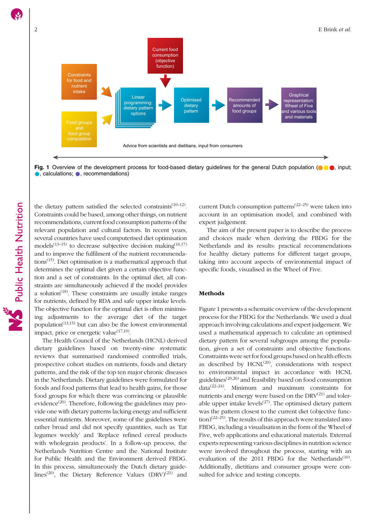

Fig. 1 Overview of the development process for food-based dietary guidelines for the general Dutch population ( $\bullet\bullet$ ), input;  $\bullet$ , calculations;  $\bullet$ , recommendations)

the dietary pattern satisfied the selected constraints<sup> $(10-12)$  $(10-12)$  $(10-12)$  $(10-12)$  $(10-12)$ </sup>. Constraints could be based, among other things, on nutrient recommendations, current food consumption patterns of the relevant population and cultural factors. In recent years, several countries have used computerised diet optimisation models<sup> $(13-15)$  $(13-15)$  $(13-15)$ </sup> to decrease subjective decision making $(16,17)$  $(16,17)$  $(16,17)$ and to improve the fulfilment of the nutrient recommenda- $tions<sup>(15)</sup>$  $tions<sup>(15)</sup>$  $tions<sup>(15)</sup>$ . Diet optimisation is a mathematical approach that determines the optimal diet given a certain objective function and a set of constraints. In the optimal diet, all constraints are simultaneously achieved if the model provides a solution<sup> $(18)$  $(18)$  $(18)$ </sup>. These constraints are usually intake ranges for nutrients, defined by RDA and safe upper intake levels. The objective function for the optimal diet is often minimising adjustments to the average diet of the target population<sup> $(13,15)$  $(13,15)$  $(13,15)$  $(13,15)$  $(13,15)$ </sup> but can also be the lowest environmental impact, price or energetic value $(17,19)$ .

The Health Council of the Netherlands (HCNL) derived dietary guidelines based on twenty-nine systematic reviews that summarised randomised controlled trials, prospective cohort studies on nutrients, foods and dietary patterns, and the risk of the top ten major chronic diseases in the Netherlands. Dietary guidelines were formulated for foods and food patterns that lead to health gains, for those food groups for which there was convincing or plausible evidence<sup>[\(20\)](#page-14-0)</sup>. Therefore, following the guidelines may provide one with dietary patterns lacking energy and sufficient essential nutrients. Moreover, some of the guidelines were rather broad and did not specify quantities, such as 'Eat legumes weekly' and 'Replace refined cereal products with wholegrain products'. In a follow-up process, the Netherlands Nutrition Centre and the National Institute for Public Health and the Environment derived FBDG. In this process, simultaneously the Dutch dietary guide-lines<sup>[\(20\)](#page-14-0)</sup>, the Dietary Reference Values  $(DRV)^{(21)}$  $(DRV)^{(21)}$  $(DRV)^{(21)}$  and

current Dutch consumption patterns<sup> $(22-25)$  $(22-25)$  $(22-25)$ </sup> were taken into account in an optimisation model, and combined with expert judgement.

The aim of the present paper is to describe the process and choices made when deriving the FBDG for the Netherlands and its results: practical recommendations for healthy dietary patterns for different target groups, taking into account aspects of environmental impact of specific foods, visualised in the Wheel of Five.

#### Methods

Figure 1 presents a schematic overview of the development process for the FBDG for the Netherlands. We used a dual approach involving calculations and expert judgement. We used a mathematical approach to calculate an optimised dietary pattern for several subgroups among the population, given a set of constraints and objective functions. Constraints were set for food groups based on health effects as described by  $HCNL^{(20)}$  $HCNL^{(20)}$  $HCNL^{(20)}$ , considerations with respect to environmental impact in accordance with HCNL guidelines<sup> $(20,26)$  $(20,26)$  $(20,26)$  $(20,26)$ </sup> and feasibility based on food consumption  $data^{(22-24)}$  $data^{(22-24)}$  $data^{(22-24)}$  $data^{(22-24)}$  $data^{(22-24)}$ . Minimum and maximum constraints for nutrients and energy were based on the  $DRV^{(21)}$  $DRV^{(21)}$  $DRV^{(21)}$  and tolerable upper intake levels $(27)$ . The optimised dietary pattern was the pattern closest to the current diet (objective func- $\frac{\text{tion}}{22-25}$ . The results of this approach were translated into FBDG, including a visualisation in the form of the Wheel of Five, web applications and educational materials. External experts representing various disciplines in nutrition science were involved throughout the process, starting with an evaluation of the 2011 FBDG for the Netherlands<sup>[\(10\)](#page-14-0)</sup>. Additionally, dietitians and consumer groups were consulted for advice and testing concepts.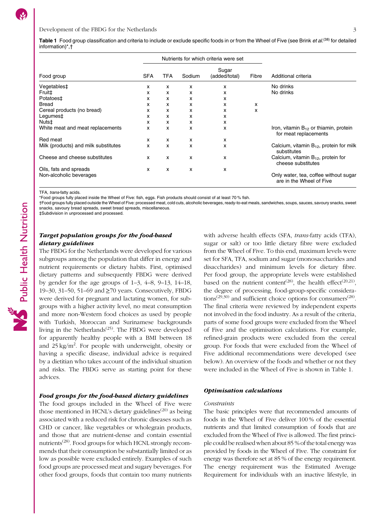<span id="page-2-0"></span>

|                                      |            |     | Nutrients for which criteria were set |                     |   |                                                                     |  |  |
|--------------------------------------|------------|-----|---------------------------------------|---------------------|---|---------------------------------------------------------------------|--|--|
| Food group                           | <b>SFA</b> | TFA | Sodium                                | Additional criteria |   |                                                                     |  |  |
| Vegetables‡                          | x          | x   | x                                     | x                   |   | No drinks                                                           |  |  |
| Fruit‡                               | x          | x   | x                                     | x                   |   | No drinks                                                           |  |  |
| Potatoes‡                            | x          | x   | x                                     | x                   |   |                                                                     |  |  |
| <b>Bread</b>                         | x          | x   | x                                     | x                   | x |                                                                     |  |  |
| Cereal products (no bread)           | x          | x   | x                                     | x                   | x |                                                                     |  |  |
| Legumes‡                             | x          | x   | x                                     | x                   |   |                                                                     |  |  |
| Nuts‡                                | x          | x   | x                                     | x                   |   |                                                                     |  |  |
| White meat and meat replacements     | x          | x   | x                                     | x                   |   | Iron, vitamin $B_{12}$ or thiamin, protein<br>for meat replacements |  |  |
| Red meat                             | x          | x   | x                                     | x                   |   |                                                                     |  |  |
| Milk (products) and milk substitutes | x          | x   | x                                     | x                   |   | Calcium, vitamin $B_{12}$ , protein for milk<br>substitutes         |  |  |
| Cheese and cheese substitutes        | x          | x   | x                                     | x                   |   | Calcium, vitamin $B_{12}$ , protein for<br>cheese substitutes       |  |  |
| Oils, fats and spreads               | x          | x   | x                                     | x                   |   |                                                                     |  |  |
| Non-alcoholic beverages              |            |     |                                       |                     |   | Only water, tea, coffee without sugar<br>are in the Wheel of Five   |  |  |

TFA, trans-fatty acids.

\*Food groups fully placed inside the Wheel of Five: fish, eggs. Fish products should consist of at least 70 % fish.

†Food groups fully placed outside the Wheel of Five: processed meat, cold cuts, alcoholic beverages, ready-to-eat meals, sandwiches, soups, sauces, savoury snacks, sweet snacks, savoury bread spreads, sweet bread spreads, miscellaneous.

‡Subdivision in unprocessed and processed.

# Target population groups for the food-based dietary guidelines

The FBDG for the Netherlands were developed for various subgroups among the population that differ in energy and nutrient requirements or dietary habits. First, optimised dietary patterns and subsequently FBDG were derived by gender for the age groups of 1–3, 4–8, 9–13, 14–18, 19–30, 31–50, 51–69 and ≥70 years. Consecutively, FBDG were derived for pregnant and lactating women, for subgroups with a higher activity level, no meat consumption and more non-Western food choices as used by people with Turkish, Moroccan and Surinamese backgrounds living in the Netherlands<sup>[\(25\)](#page-14-0)</sup>. The FBDG were developed for apparently healthy people with a BMI between 18 and 25 kg/m<sup>2</sup>. For people with underweight, obesity or having a specific disease, individual advice is required by a dietitian who takes account of the individual situation and risks. The FBDG serve as starting point for these advices.

# Food groups for the food-based dietary guidelines

The food groups included in the Wheel of Five were those mentioned in HCNL's dietary guidelines<sup>([20](#page-14-0))</sup> as being associated with a reduced risk for chronic diseases such as CHD or cancer, like vegetables or wholegrain products, and those that are nutrient-dense and contain essential nutrients<sup>[\(28\)](#page-15-0)</sup>. Food groups for which HCNL strongly recommends that their consumption be substantially limited or as low as possible were excluded entirely. Examples of such food groups are processed meat and sugary beverages. For other food groups, foods that contain too many nutrients with adverse health effects (SFA, trans-fatty acids (TFA), sugar or salt) or too little dietary fibre were excluded from the Wheel of Five. To this end, maximum levels were set for SFA, TFA, sodium and sugar (monosaccharides and disaccharides) and minimum levels for dietary fibre. Per food group, the appropriate levels were established based on the nutrient content<sup>([28](#page-15-0))</sup>, the health effect<sup>[\(20,21](#page-14-0))</sup>, the degree of processing, food-group-specific considerations<sup> $(29,30)$  $(29,30)$ </sup> and sufficient choice options for consumers<sup> $(28)$  $(28)$ </sup>. The final criteria were reviewed by independent experts not involved in the food industry. As a result of the criteria, parts of some food groups were excluded from the Wheel of Five and the optimisation calculations. For example, refined-grain products were excluded from the cereal group. For foods that were excluded from the Wheel of Five additional recommendations were developed (see below). An overview of the foods and whether or not they were included in the Wheel of Five is shown in Table 1.

#### Optimisation calculations

#### Constraints

The basic principles were that recommended amounts of foods in the Wheel of Five deliver 100 % of the essential nutrients and that limited consumption of foods that are excluded from the Wheel of Five is allowed. The first principle could be realised when about 85 % of the total energy was provided by foods in the Wheel of Five. The constraint for energy was therefore set at 85 % of the energy requirement. The energy requirement was the Estimated Average Requirement for individuals with an inactive lifestyle, in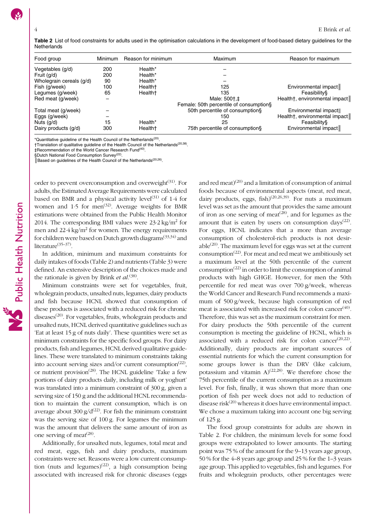Table 2 List of food constraints for adults used in the optimisation calculations in the development of food-based dietary guidelines for the **Netherlands** 

| Food group               | <b>Minimum</b><br>Reason for minimum |                     | Maximum                                 | Reason for maximum            |  |  |  |  |
|--------------------------|--------------------------------------|---------------------|-----------------------------------------|-------------------------------|--|--|--|--|
| Vegetables (g/d)         | 200                                  | Health*             |                                         |                               |  |  |  |  |
| Fruit (g/d)              | 200                                  | Health*             |                                         |                               |  |  |  |  |
| Wholegrain cereals (g/d) | 90                                   | Health*             |                                         |                               |  |  |  |  |
| Fish (g/week)            | 100                                  | Health <sup>+</sup> | 125                                     | Environmental impact          |  |  |  |  |
| Legumes (g/week)         | 65                                   | Health <sup>+</sup> | 135                                     | Feasibility§                  |  |  |  |  |
| Red meat (g/week)        |                                      |                     | Male: 500+.‡                            | Health†, environmental impact |  |  |  |  |
|                          |                                      |                     | Female: 50th percentile of consumption§ |                               |  |  |  |  |
| Total meat (g/week)      |                                      |                     | 50th percentile of consumption§         | Environmental impact          |  |  |  |  |
| Eggs (g/week)            |                                      |                     | 150                                     | Health†, environmental impact |  |  |  |  |
| Nuts $(q/d)$             | 15                                   | Health*             | 25                                      | Feasibility§                  |  |  |  |  |
| Dairy products (g/d)     | 300                                  | Health <sup>+</sup> | 75th percentile of consumption§         | Environmental impact          |  |  |  |  |

\*Quantitative guideline of the Health Council of the Netherlands[\(20](#page-14-0)).

†Translation of qualitative guideline of the Health Council of the Netherlands[\(20](#page-14-0)[,38](#page-15-0)). ‡Recommendation of the World Cancer Research Fund([40\)](#page-15-0).

§Dutch National Food Consumption Survey<sup>[\(22](#page-14-0))</sup>.

 $\parallel$  Based on guidelines of the Health Council of the Netherlands<sup>([20,](#page-14-0)[26](#page-15-0))</sup>.

order to prevent overconsumption and overweight $(31)$  $(31)$ . For adults, the Estimated Average Requirements were calculated based on BMR and a physical activity level<sup>[\(31\)](#page-15-0)</sup> of  $1.4$  for women and  $1.5$  for men<sup> $(32)$  $(32)$ </sup>. Average weights for BMR estimations were obtained from the Public Health Monitor 2014. The corresponding BMI values were  $23.2 \text{ kg/m}^2$  for men and  $22.4 \text{ kg/m}^2$  for women. The energy requirements for children were based on Dutch growth diagrams<sup> $(33,34)$ </sup> and literature<sup>([35](#page-15-0)–[37](#page-15-0))</sup>.

In addition, minimum and maximum constraints for daily intakes of foods (Table 2) and nutrients (Table [3\)](#page-4-0) were defined. An extensive description of the choices made and the rationale is given by Brink *et al*.<sup>[\(38](#page-15-0))</sup>.

Minimum constraints were set for vegetables, fruit, wholegrain products, unsalted nuts, legumes, dairy products and fish because HCNL showed that consumption of these products is associated with a reduced risk for chronic diseases<sup>[\(20\)](#page-14-0)</sup>. For vegetables, fruits, wholegrain products and unsalted nuts, HCNL derived quantitative guidelines such as 'Eat at least 15 g of nuts daily'. These quantities were set as minimum constraints for the specific food groups. For dairy products, fish and legumes, HCNL derived qualitative guidelines. These were translated to minimum constraints taking into account serving sizes and/or current consumption<sup> $(22)$  $(22)$  $(22)$ </sup>, or nutrient provision<sup>[\(28\)](#page-15-0)</sup>. The HCNL guideline 'Take a few portions of dairy products daily, including milk or yoghurt' was translated into a minimum constraint of 300 g, given a serving size of 150 g and the additional HCNL recommendation to maintain the current consumption, which is on average about  $300 \frac{g}{d^{2}}$ . For fish the minimum constraint was the serving size of 100 g. For legumes the minimum was the amount that delivers the same amount of iron as one serving of meat $^{(28)}$  $^{(28)}$  $^{(28)}$ .

Additionally, for unsalted nuts, legumes, total meat and red meat, eggs, fish and dairy products, maximum constraints were set. Reasons were a low current consump-tion (nuts and legumes)<sup>([22\)](#page-14-0)</sup>, a high consumption being associated with increased risk for chronic diseases (eggs

and red meat)<sup>([20](#page-14-0))</sup> and a limitation of consumption of animal foods because of environmental aspects (meat, red meat, dairy products, eggs, fish)<sup>([20](#page-14-0)[,26,39](#page-15-0))</sup>. For nuts a maximum level was set as the amount that provides the same amount of iron as one serving of meat<sup> $(28)$ </sup>, and for legumes as the amount that is eaten by users on consumption days $(22)$ . For eggs, HCNL indicates that a more than average consumption of cholesterol-rich products is not desirable $^{(20)}$  $^{(20)}$  $^{(20)}$ . The maximum level for eggs was set at the current consumption<sup>[\(22\)](#page-14-0)</sup>. For meat and red meat we ambitiously set a maximum level at the 50th percentile of the current  $\text{consumption}^{(22)}$  $\text{consumption}^{(22)}$  $\text{consumption}^{(22)}$  in order to limit the consumption of animal products with high GHGE. However, for men the 50th percentile for red meat was over 700 g/week, whereas the World Cancer and Research Fund recommends a maximum of 500 g/week, because high consumption of red meat is associated with increased risk for colon cancer $(40)$ . Therefore, this was set as the maximum constraint for men. For dairy products the 50th percentile of the current consumption is meeting the guideline of HCNL, which is associated with a reduced risk for colon cancer<sup>([20,22\)](#page-14-0)</sup>. Additionally, dairy products are important sources of essential nutrients for which the current consumption for some groups lower is than the DRV (like calcium, potassium and vitamin  $A^{(22,28)}$  $A^{(22,28)}$  $A^{(22,28)}$  $A^{(22,28)}$ . We therefore chose the 75th percentile of the current consumption as a maximum level. For fish, finally, it was shown that more than one portion of fish per week does not add to reduction of disease risk $(20)$  whereas it does have environmental impact. We chose a maximum taking into account one big serving of 125 g.

The food group constraints for adults are shown in Table 2. For children, the minimum levels for some food groups were extrapolated to lower amounts. The starting point was 75 % of the amount for the 9–13 years age group, 50 % for the 4–8 years age group and 25 % for the 1–3 years age group. This applied to vegetables, fish and legumes. For fruits and wholegrain products, other percentages were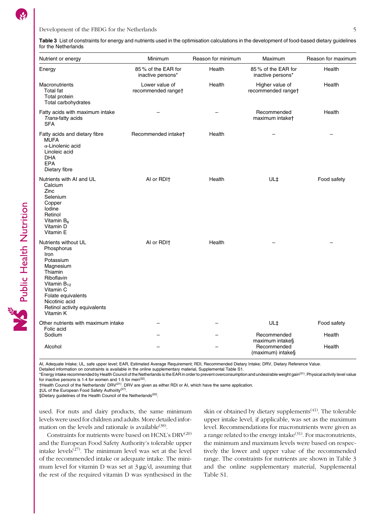#### <span id="page-4-0"></span>Development of the FBDG for the Netherlands 5

Table 3 List of constraints for energy and nutrients used in the optimisation calculations in the development of food-based dietary guidelines for the Netherlands

| Nutrient or energy                                                                                                                                                                                                  | Minimum                                 | Reason for minimum | Maximum                                 | Reason for maximum |
|---------------------------------------------------------------------------------------------------------------------------------------------------------------------------------------------------------------------|-----------------------------------------|--------------------|-----------------------------------------|--------------------|
| Energy                                                                                                                                                                                                              | 85% of the EAR for<br>inactive persons* | Health             | 85% of the EAR for<br>inactive persons* | Health             |
| Macronutrients<br><b>Total fat</b><br>Total protein<br>Total carbohydrates                                                                                                                                          | Lower value of<br>recommended ranget    | Health             | Higher value of<br>recommended ranget   | Health             |
| Fatty acids with maximum intake<br>Trans-fatty acids<br><b>SFA</b>                                                                                                                                                  |                                         |                    | Recommended<br>maximum intaket          | Health             |
| Fatty acids and dietary fibre<br><b>MUFA</b><br>$\alpha$ -Linolenic acid<br>Linoleic acid<br><b>DHA</b><br>EPA<br>Dietary fibre                                                                                     | Recommended intaket                     | Health             |                                         |                    |
| Nutrients with AI and UL<br>Calcium<br>Zinc<br>Selenium<br>Copper<br>lodine<br>Retinol<br>Vitamin B <sub>6</sub><br>Vitamin D<br>Vitamin E                                                                          | AI or RDI <sup>+</sup>                  | Health             | UL‡                                     | Food safety        |
| Nutrients without UL<br>Phosphorus<br>Iron<br>Potassium<br>Magnesium<br>Thiamin<br>Riboflavin<br>Vitamin $B_{12}$<br>Vitamin C<br>Folate equivalents<br>Nicotinic acid<br>Retinol activity equivalents<br>Vitamin K | AI or RDI+                              | Health             |                                         |                    |
| Other nutrients with maximum intake<br>Folic acid                                                                                                                                                                   |                                         |                    | UL‡                                     | Food safety        |
| Sodium                                                                                                                                                                                                              |                                         |                    | Recommended<br>maximum intake§          | Health             |
| Alcohol                                                                                                                                                                                                             |                                         |                    | Recommended<br>(maximum) intake§        | Health             |

AI, Adequate Intake; UL, safe upper level; EAR, Estimated Average Requirement; RDI, Recommended Dietary Intake; DRV, Dietary Reference Value.

Detailed information on constraints is available in the online supplementary material, Supplemental Table [S1.](https://doi.org/10.1017/S1368980019001435)

\*Energy intake recommended by Health Council of the Netherlands is the EAR in order to prevent overconsumption and undesirable weight gain([31\)](#page-15-0). Physical activity level value for inactive persons is 1.4 for women and 1.5 for men<sup>[\(32](#page-15-0))</sup>

†Health Council of the Netherlands' DRV([21\)](#page-14-0). DRV are given as either RDI or AI, which have the same application.

‡UL of the European Food Safety Authority[\(27](#page-15-0)).

§Dietary guidelines of the Health Council of the Netherlands<sup>[\(20](#page-14-0))</sup>.

used. For nuts and dairy products, the same minimum levels were used for children and adults. More detailed infor-mation on the levels and rationale is available<sup>[\(38\)](#page-15-0)</sup>.

Constraints for nutrients were based on HCNL's  $\mathrm{DRV}^{(20)}$  $\mathrm{DRV}^{(20)}$  $\mathrm{DRV}^{(20)}$ and the European Food Safety Authority's tolerable upper intake levels $^{(27)}$  $^{(27)}$  $^{(27)}$ . The minimum level was set at the level of the recommended intake or adequate intake. The minimum level for vitamin D was set at  $3 \mu g/d$ , assuming that the rest of the required vitamin D was synthesised in the skin or obtained by dietary supplements<sup> $(41)$ </sup>. The tolerable upper intake level, if applicable, was set as the maximum level. Recommendations for macronutrients were given as a range related to the energy intake $(31)$  $(31)$  $(31)$ . For macronutrients, the minimum and maximum levels were based on respectively the lower and upper value of the recommended range. The constraints for nutrients are shown in Table 3 and the online supplementary material, Supplemental Table [S1](https://doi.org/10.1017/S1368980019001435).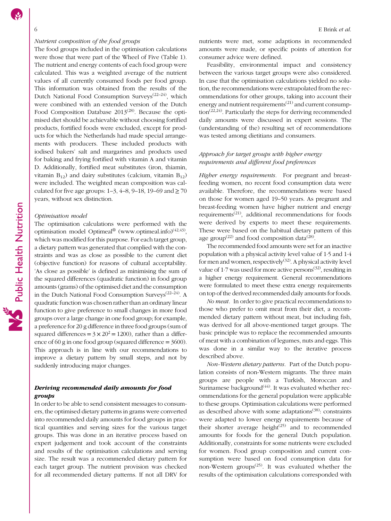#### Nutrient composition of the food groups

The food groups included in the optimisation calculations were those that were part of the Wheel of Five (Table [1](#page-2-0)). The nutrient and energy contents of each food group were calculated. This was a weighted average of the nutrient values of all currently consumed foods per food group. This information was obtained from the results of the Dutch National Food Consumption Surveys<sup>([22](#page-14-0)-[24](#page-14-0))</sup>, which were combined with an extended version of the Dutch Food Composition Database  $2013^{(28)}$  $2013^{(28)}$  $2013^{(28)}$ . Because the optimised diet should be achievable without choosing fortified products, fortified foods were excluded, except for products for which the Netherlands had made special arrangements with producers. These included products with iodised bakers' salt and margarines and products used for baking and frying fortified with vitamin A and vitamin D. Additionally, fortified meat substitutes (iron, thiamin, vitamin  $B_{12}$ ) and dairy substitutes (calcium, vitamin  $B_{12}$ ) were included. The weighted mean composition was calculated for five age groups:  $1-3$ ,  $4-8$ ,  $9-18$ ,  $19-69$  and  $\geq 70$ years, without sex distinction.

#### Optimisation model

The optimisation calculations were performed with the optimisation model Optimeal<sup>®</sup> ([www.optimeal.info\)](http://www.optimeal.info)<sup>[\(42](#page-15-0),[43](#page-15-0))</sup>, which was modified for this purpose. For each target group, a dietary pattern was generated that complied with the constraints and was as close as possible to the current diet (objective function) for reasons of cultural acceptability. 'As close as possible' is defined as minimising the sum of the squared differences (quadratic function) in food group amounts (grams) of the optimised diet and the consumption in the Dutch National Food Consumption Surveys $(22-24)$  $(22-24)$  $(22-24)$  $(22-24)$  $(22-24)$ . A quadratic function was chosen rather than an ordinary linear function to give preference to small changes in more food groups over a large change in one food group; for example, a preference for 20 g difference in three food groups (sum of squared differences =  $3 \times 20^2$  = 1200), rather than a difference of 60 g in one food group (squared difference  $=$  3600). This approach is in line with our recommendations to improve a dietary pattern by small steps, and not by suddenly introducing major changes.

### Deriving recommended daily amounts for food groups

In order to be able to send consistent messages to consumers, the optimised dietary patterns in grams were converted into recommended daily amounts for food groups in practical quantities and serving sizes for the various target groups. This was done in an iterative process based on expert judgement and took account of the constraints and results of the optimisation calculations and serving size. The result was a recommended dietary pattern for each target group. The nutrient provision was checked for all recommended dietary patterns. If not all DRV for

nutrients were met, some adaptions in recommended amounts were made, or specific points of attention for consumer advice were defined.

Feasibility, environmental impact and consistency between the various target groups were also considered. In case that the optimisation calculations yielded no solution, the recommendations were extrapolated from the recommendations for other groups, taking into account their energy and nutrient requirements<sup> $(21)$  $(21)$  $(21)$ </sup> and current consump- $\text{tion}^{(22,24)}$  $\text{tion}^{(22,24)}$  $\text{tion}^{(22,24)}$ . Particularly the steps for deriving recommended daily amounts were discussed in expert sessions. The (understanding of the) resulting set of recommendations was tested among dietitians and consumers.

# Approach for target groups with higher energy requirements and different food preferences

Higher energy requirements. For pregnant and breastfeeding women, no recent food consumption data were available. Therefore, the recommendations were based on those for women aged 19–50 years. As pregnant and breast-feeding women have higher nutrient and energy requirements[\(21](#page-14-0)), additional recommendations for foods were derived by experts to meet these requirements. These were based on the habitual dietary pattern of this age group<sup>([22](#page-14-0))</sup> and food composition data<sup>([28](#page-15-0))</sup>.

The recommended food amounts were set for an inactive population with a physical activity level value of 1·5 and 1·4 for men and women, respectively<sup>([32](#page-15-0))</sup>. A physical activity level value of  $1.7$  was used for more active persons<sup> $(32)$  $(32)$ </sup>, resulting in a higher energy requirement. General recommendations were formulated to meet these extra energy requirements on top of the derived recommended daily amounts for foods.

No meat. In order to give practical recommendations to those who prefer to omit meat from their diet, a recommended dietary pattern without meat, but including fish, was derived for all above-mentioned target groups. The basic principle was to replace the recommended amounts of meat with a combination of legumes, nuts and eggs. This was done in a similar way to the iterative process described above.

Non-Western dietary patterns. Part of the Dutch population consists of non-Western migrants. The three main groups are people with a Turkish, Moroccan and Surinamese background $(44)$  $(44)$  $(44)$ . It was evaluated whether recommendations for the general population were applicable to these groups. Optimisation calculations were performed as described above with some adaptations $(38)$ : constraints were adapted to lower energy requirements because of their shorter average height $(25)$  $(25)$  $(25)$  and to recommended amounts for foods for the general Dutch population. Additionally, constraints for some nutrients were excluded for women. Food group composition and current consumption were based on food consumption data for non-Western groups<sup> $(25)$  $(25)$  $(25)$ </sup>. It was evaluated whether the results of the optimisation calculations corresponded with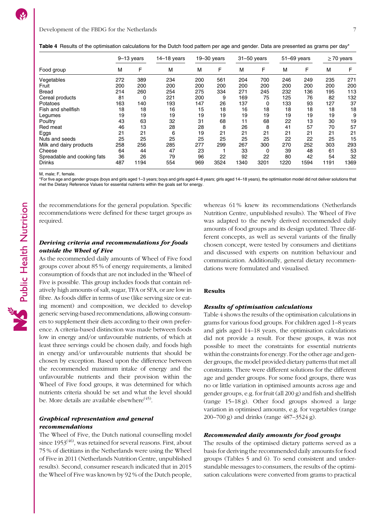|                             | 9-13 years |      | $14-18$ years |     | $19 - 30$ years |      | $31 - 50$ years | 51-69 years |      | $\geq$ 70 years |      |
|-----------------------------|------------|------|---------------|-----|-----------------|------|-----------------|-------------|------|-----------------|------|
| Food group                  | M          | F    | M             | м   | F               |      | F<br>M          |             | F    | М<br>F          |      |
| Vegetables                  | 272        | 389  | 234           | 200 | 561             | 204  | 700             | 246         | 249  | 235             | 271  |
| Fruit                       | 200        | 200  | 200           | 200 | 200             | 200  | 200             | 200         | 200  | 200             | 200  |
| Bread                       | 214        | 260  | 254           | 275 | 334             | 271  | 245             | 232         | 136  | 195             | 113  |
| Cereal products             | 81         | 0    | 221           | 200 | 9               | 169  | 75              | 125         | 76   | 82              | 132  |
| Potatoes                    | 163        | 140  | 193           | 147 | 26              | 137  | 0               | 133         | 93   | 127             | 37   |
| Fish and shellfish          | 18         | 18   | 16            | 15  | 18              | 16   | 18              | 18          | 18   | 18              | 18   |
| Legumes                     | 19         | 19   | 19            | 19  | 19              | 19   | 19              | 19          | 19   | 19              | 9    |
| Poultry                     | 43         | 63   | 32            | 31  | 68              | 11   | 68              | 22          | 13   | 30              | 19   |
| Red meat                    | 46         | 13   | 28            | 28  | 8               | 26   | 8               | 41          | 57   | 70              | 57   |
| Eggs                        | 21         | 21   | 6             | 19  | 21              | 21   | 21              | 21          | 21   | 21              | 21   |
| Nuts and seeds              | 25         | 25   | 25            | 25  | 25              | 25   | 25              | 22          | 22   | 25              | 15   |
| Milk and dairy products     | 258        | 256  | 285           | 277 | 299             | 267  | 300             | 270         | 252  | 303             | 293  |
| Cheese                      | 64         | 44   | 47            | 23  |                 | 33   | 0               | 39          | 48   | 61              | 53   |
| Spreadable and cooking fats | 36         | 26   | 79            | 96  | 22              | 92   | 22              | 80          | 42   | 54              | 32   |
| <b>Drinks</b>               | 487        | 1194 | 554           | 969 | 3524            | 1340 | 3201            | 1220        | 1594 | 1191            | 1369 |

<span id="page-6-0"></span>Table 4 Results of the optimisation calculations for the Dutch food pattern per age and gender. Data are presented as grams per day\*

M, male; F, female.

\*For five age and gender groups (boys and girls aged 1–3 years; boys and girls aged 4–8 years; girls aged 14–18 years), the optimisation model did not deliver solutions that met the Dietary Reference Values for essential nutrients within the goals set for energy.

the recommendations for the general population. Specific recommendations were defined for these target groups as required.

# Deriving criteria and recommendations for foods outside the Wheel of Five

As the recommended daily amounts of Wheel of Five food groups cover about 85 % of energy requirements, a limited consumption of foods that are not included in the Wheel of Five is possible. This group includes foods that contain relatively high amounts of salt, sugar, TFA or SFA, or are low in fibre. As foods differ in terms of use (like serving size or eating moment) and composition, we decided to develop generic serving-based recommendations, allowing consumers to supplement their diets according to their own preference. A criteria-based distinction was made between foods low in energy and/or unfavourable nutrients, of which at least three servings could be chosen daily, and foods high in energy and/or unfavourable nutrients that should be chosen by exception. Based upon the difference between the recommended maximum intake of energy and the unfavourable nutrients and their provision within the Wheel of Five food groups, it was determined for which nutrients criteria should be set and what the level should be. More details are available elsewhere<sup> $(45)$  $(45)$ </sup>.

# Graphical representation and general recommendations

The Wheel of Five, the Dutch national counselling model since  $1953^{(46)}$  $1953^{(46)}$  $1953^{(46)}$ , was retained for several reasons. First, about 75 % of dietitians in the Netherlands were using the Wheel of Five in 2011 (Netherlands Nutrition Centre, unpublished results). Second, consumer research indicated that in 2015 the Wheel of Five was known by 92 % of the Dutch people, whereas 61% knew its recommendations (Netherlands Nutrition Centre, unpublished results). The Wheel of Five was adapted to the newly derived recommended daily amounts of food groups and its design updated. Three different concepts, as well as several variants of the finally chosen concept, were tested by consumers and dietitians and discussed with experts on nutrition behaviour and communication. Additionally, general dietary recommendations were formulated and visualised.

#### Results

#### Results of optimisation calculations

Table 4 shows the results of the optimisation calculations in grams for various food groups. For children aged 1–8 years and girls aged 14–18 years, the optimisation calculations did not provide a result. For these groups, it was not possible to meet the constraints for essential nutrients within the constraints for energy. For the other age and gender groups, the model provided dietary patterns that met all constraints. There were different solutions for the different age and gender groups. For some food groups, there was no or little variation in optimised amounts across age and gender groups, e.g. for fruit (all 200 g) and fish and shellfish (range 15–18 g). Other food groups showed a large variation in optimised amounts, e.g. for vegetables (range 200–700 g) and drinks (range 487–3524 g).

#### Recommended daily amounts for food groups

The results of the optimised dietary patterns served as a basis for deriving the recommended daily amounts for food groups (Tables [5](#page-7-0) and [6](#page-8-0)). To send consistent and understandable messages to consumers, the results of the optimisation calculations were converted from grams to practical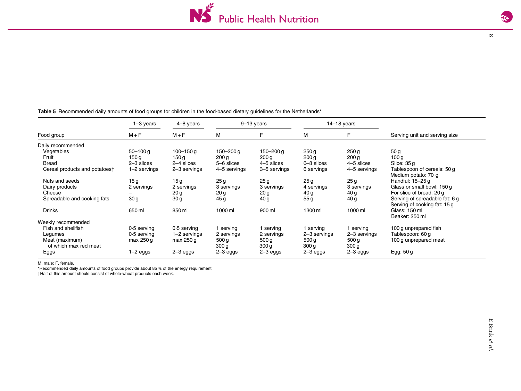$\infty$ 

|                               | $1-3$ years     | 4-8 years       |                  | $9-13$ years     |                  | $14-18$ years    |                                |
|-------------------------------|-----------------|-----------------|------------------|------------------|------------------|------------------|--------------------------------|
| Food group                    | $M + F$         | $M + F$         | M                | F                | м                | F                | Serving unit and serving size  |
| Daily recommended             |                 |                 |                  |                  |                  |                  |                                |
| Vegetables                    | $50 - 100$ g    | $100 - 150$ g   | 150–200 g        | 150–200 g        | 250 g            | 250 <sub>g</sub> | 50 <sub>g</sub>                |
| Fruit                         | 150 g           | 150 g           | 200 <sub>g</sub> | 200 <sub>g</sub> | 200 <sub>g</sub> | 200 <sub>g</sub> | 100 <sub>g</sub>               |
| Bread                         | $2 - 3$ slices  | 2-4 slices      | 5-6 slices       | 4-5 slices       | 6-8 slices       | 4-5 slices       | Slice: $35g$                   |
| Cereal products and potatoest | 1-2 servings    | 2-3 servings    | 4-5 servings     | 3-5 servings     | 6 servings       | 4-5 servings     | Tablespoon of cereals: 50 g    |
|                               |                 |                 |                  |                  |                  |                  | Medium potato: 70 g            |
| Nuts and seeds                |                 |                 |                  |                  |                  |                  | Handful: 15-25 g               |
|                               | 15g             | 15g             | 25g              | 25 <sub>g</sub>  | 25 g             | 25 <sub>g</sub>  |                                |
| Dairy products                | 2 servings      | 2 servings      | 3 servings       | 3 servings       | 4 servings       | 3 servings       | Glass or small bowl: 150 g     |
| Cheese                        |                 | 20 g            | 20 <sub>g</sub>  | 20 g             | 40 g             | 40 g             | For slice of bread: 20 g       |
| Spreadable and cooking fats   | 30 <sub>g</sub> | 30 <sub>g</sub> | 45 g             | 40 g             | 55 g             | 40 g             | Serving of spreadable fat: 6 g |
|                               |                 |                 |                  |                  |                  |                  | Serving of cooking fat: 15 g   |
| <b>Drinks</b>                 | 650 ml          | 850 ml          | 1000 ml          | 900 ml           | 1300 ml          | 1000 ml          | Glass: 150 ml                  |
|                               |                 |                 |                  |                  |                  |                  | Beaker: 250 ml                 |
| Weekly recommended            |                 |                 |                  |                  |                  |                  |                                |
| Fish and shellfish            | $0.5$ serving   | $0.5$ serving   | 1 serving        | I serving        | l serving        | l serving        | 100 g unprepared fish          |
| Legumes                       | $0.5$ serving   | 1-2 servings    | 2 servings       | 2 servings       | 2-3 servings     | 2-3 servings     | Tablespoon: 60 g               |
| Meat (maximum)                | $max$ 250 g     | max 250 g       | 500 g            | 500 <sub>g</sub> | 500 <sub>g</sub> | 500 <sub>g</sub> | 100 g unprepared meat          |
| of which max red meat         |                 |                 |                  |                  |                  |                  |                                |
|                               |                 |                 | 300 g            | 300 <sub>g</sub> | 300 g            | 300 <sub>g</sub> |                                |
| Eggs                          | $1-2$ eggs      | 2-3 eggs        | 2-3 eggs         | $2 - 3$ eggs     | 2-3 eggs         | $2 - 3$ eggs     | Egg: 50 g                      |

<span id="page-7-0"></span>Table 5 Recommended daily amounts of food groups for children in the food-based dietary guidelines for the Netherlands\*

M, male; F, female.

\*Recommended daily amounts of food groups provide about 85 % of the energy requirement. †Half of this amount should consist of whole-wheat products each week.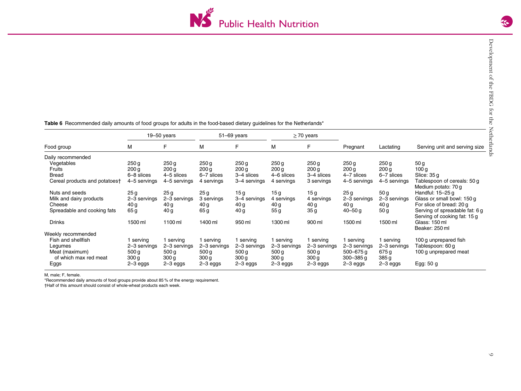

|                               |                    | $19 - 50$ years  |                  | $51 - 69$ years  |                  | $\geq$ 70 years  |                  |                  |                                                                |
|-------------------------------|--------------------|------------------|------------------|------------------|------------------|------------------|------------------|------------------|----------------------------------------------------------------|
| Food group                    | M                  | F                | M                | F                | м                | F                | Pregnant         | Lactating        | Serving unit and serving size                                  |
| Daily recommended             |                    |                  |                  |                  |                  |                  |                  |                  |                                                                |
| Vegetables                    | 250q               | 250q             | 250 g            | 250 <sub>g</sub> | 250 g            | 250q             | 250 <sub>g</sub> | 250q             | 50 g                                                           |
| Fruits                        | 200 <sub>g</sub>   | 200 <sub>g</sub> | 200 g            | 200 g            | 200 <sub>g</sub> | 200 g            | 200 g            | 200 <sub>g</sub> | 100 g                                                          |
| <b>Bread</b>                  | 6–8 slices         | 4–5 slices       | 6–7 slices       | 3-4 slices       | 4-6 slices       | 3–4 slices       | 4–7 slices       | 6-7 slices       | Slice: 35 g                                                    |
| Cereal products and potatoest | 4-5 servings       | 4-5 servings     | 4 servings       | 3–4 servings     | 4 servings       | 3 servings       | 4-5 servings     | 4-5 servings     | Tablespoon of cereals: 50 g<br>Medium potato: 70 g             |
| Nuts and seeds                | 25 <sub>g</sub>    | 25 <sub>g</sub>  | 25 <sub>g</sub>  | 15 <sub>g</sub>  | 15g              | 15g              | 25g              | 50 <sub>g</sub>  | Handful: 15-25 g                                               |
| Milk and dairy products       | 2-3 servings       | 2-3 servings     | 3 servings       | 3-4 servings     | 4 servings       | 4 servings       | 2-3 servings     | 2-3 servings     | Glass or small bowl: 150 g                                     |
| Cheese                        | 40 g               | 40 g             | 40 g             | 40 g             | 40 <sub>g</sub>  | 40 g             | 40 g             | 40 g             | For slice of bread: 20 q                                       |
| Spreadable and cooking fats   | 65 g               | 40 g             | 65 g             | 40 g             | 55 g             | 35 <sub>g</sub>  | $40 - 50$ g      | 50 <sub>g</sub>  | Serving of spreadable fat: 6 g<br>Serving of cooking fat: 15 g |
| Drinks                        | 1100 ml<br>1500 ml |                  | 1400 ml          | 950 ml           | 1300 ml          | 900 ml           | 1500 ml          | 1500 ml          | Glass: 150 ml<br>Beaker: 250 ml                                |
| Weekly recommended            |                    |                  |                  |                  |                  |                  |                  |                  |                                                                |
| Fish and shellfish            | serving            | serving          | l serving        | 1 serving        | 1 serving        | 1 serving        | serving          | l serving        | 100 g unprepared fish                                          |
| Legumes                       | 2-3 servings       | 2-3 servings     | 2-3 servings     | 2-3 servings     | 2-3 servings     | 2-3 servings     | 2-3 servings     | 2-3 servings     | Tablespoon: 60 g                                               |
| Meat (maximum)                | 500 <sub>g</sub>   | 500 <sub>g</sub> | 500 <sub>g</sub> | 500 <sub>g</sub> | 500 <sub>g</sub> | 500 <sub>g</sub> | $500 - 675$ g    | 675g             | 100 g unprepared meat                                          |
| of which max red meat         | 300 g              | 300 g            | 300 <sub>g</sub> | 300 <sub>g</sub> | 300 <sub>g</sub> | 300 <sub>g</sub> | $300 - 385$ g    | 385 g            |                                                                |
| Eggs                          | 2-3 eggs           | 2-3 eggs         | 2-3 eggs         | 2-3 eggs         | 2-3 eggs         | 2-3 eggs         | 2-3 eggs         | 2-3 eggs         | Egg: 50 g                                                      |

<span id="page-8-0"></span>Table 6 Recommended daily amounts of food groups for adults in the food-based dietary guidelines for the Netherlands\*

M, male; F, female.

\*Recommended daily amounts of food groups provide about 85 % of the energy requirement.

†Half of this amount should consist of whole-wheat products each week.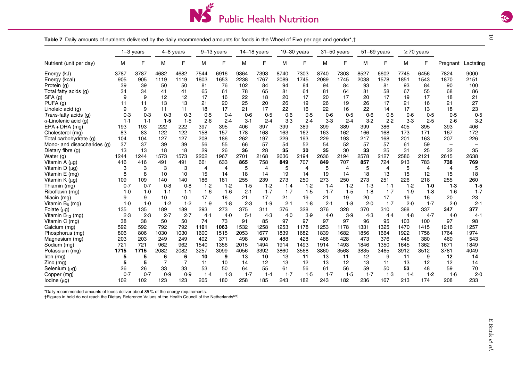

10

<span id="page-9-0"></span>Table 7 Daily amounts of nutrients delivered by the daily recommended amounts for foods in the Wheel of Five per age and gender\*,†

|                              |       | $1-3$ years |      | 4-8 years      | $9-13$ years |      |       | $14-18$ years |       | $19-30$ years |       | $31 - 50$ years |       | $51 - 69$ years |       | $\geq$ 70 years |                          |           |
|------------------------------|-------|-------------|------|----------------|--------------|------|-------|---------------|-------|---------------|-------|-----------------|-------|-----------------|-------|-----------------|--------------------------|-----------|
| Nutrient (unit per day)      | м     | F           | М    | F              | М            | F    | M     | F             | м     | F             | M     | F               | M     | F               | М     |                 | Pregnant                 | Lactating |
| Energy (kJ)                  | 3787  | 3787        | 4682 | 4682           | 7544         | 6916 | 9364  | 7393          | 8740  | 7303          | 8740  | 7303            | 8527  | 6602            | 7745  | 6456            | 7824                     | 9000      |
| Energy (kcal)                | 905   | 905         | 1119 | 1119           | 1803         | 1653 | 2238  | 1767          | 2089  | 1745          | 2089  | 1745            | 2038  | 1578            | 1851  | 1543            | 1870                     | 2151      |
| Protein (g)                  | 39    | 39          | 50   | 50             | 81           | 76   | 102   | 84            | 94    | 84            | 94    | 84              | 93    | 81              | 93    | 84              | 90                       | 100       |
| Total fatty acids (g)        | 34    | 34          | 41   | 41             | 65           | 61   | 78    | 65            | 81    | 64            | 81    | 64              | 81    | 58              | 67    | 55              | 68                       | 86        |
| SFA (g)                      | 9     | 9           | 12   | 12             | 17           | 16   | 22    | 18            | 20    | 17            | 20    | 17              | 20    | 17              | 19    | 17              | 18                       | 21        |
| PUFA (g)                     | 11    | 11          | 13   | 13             | 21           | 20   | 25    | 20            | 26    | 19            | 26    | 19              | 26    | 17              | 21    | 16              | 21                       | 27        |
| Linoleic acid (g)            |       | 9           | 11   | 11             | 18           | 17   | 21    | 17            | 22    | 16            | 22    | 16              | 22    | 14              | 17    | 13              | 18                       | 23        |
| Trans-fatty acids (g)        | 0.3   | 0.3         | 0.3  | 0.3            | 0.5          | 0.4  | 0.6   | 0.5           | 0.6   | 0.5           | 0.6   | 0.5             | 0.6   | 0.5             | 0.6   | 0.5             | 0.5                      | 0.5       |
| $\alpha$ -Linolenic acid (g) | 1.1   | 1.1         | 1.5  | 1.5            | 2.6          | 2.4  | $3-1$ | 2.4           | $3-3$ | 2.4           | $3-3$ | 2.4             | 3.2   | 2.2             | $3-3$ | 2.5             | 2.6                      | 3.2       |
| $EPA + DHA$ (mg)             | 193   | 193         | 222  | 222            | 397          | 395  | 406   | 397           | 399   | 389           | 399   | 389             | 399   | 386             | 405   | 395             | 393                      | 406       |
| Cholesterol (mg)             | 83    | 83          | 122  | 122            | 158          | 157  | 178   | 168           | 163   | 162           | 163   | 162             | 166   | 168             | 173   | 171             | 167                      | 172       |
| Total carbohydrate (g)       | 104   | 104         | 127  | 127            | 208          | 186  | 262   | 197           | 229   | 193           | 229   | 193             | 217   | 168             | 201   | 163             | 207                      | 226       |
| Mono- and disaccharides (q)  | 37    | 37          | 39   | 39             | 56           | 55   | 66    | 57            | 54    | 52            | 54    | 52              | 57    | 57              | 61    | 59              | $\overline{\phantom{0}}$ |           |
| Dietary fibre (g)            | 13    | 13          | 18   | 18             | 29           | 26   | 36    | 28            | 35    | 30            | 35    | 30              | 33    | 25              | 31    | 25              | 32                       | 35        |
| Water (g)                    | 1244  | 1244        | 1573 | 1573           | 2202         | 1967 | 2701  | 2168          | 2636  | 2194          | 2636  | 2194            | 2578  | 2127            | 2586  | 2121            | 2615                     | 2638      |
| Vitamin A (µg)               | 416   | 416         | 491  | 491            | 661          | 633  | 865   | 758           | 849   | 707           | 849   | 707             | 857   | 724             | 913   | 783             | 738                      | 769       |
| Vitamin D $(\mu q)$          | 3     | 3           | 3    | 3              | 4            | 4    | 5     | 4             | 5     | 4             | 5     | 4               | 5     | 4               | 5     | $\overline{4}$  | 4                        | 5         |
| Vitamin E (mg)               | 8     | 8           | 10   | 10             | 15           | 14   | 18    | 14            | 19    | 14            | 19    | 14              | 18    | 13              | 15    | 12              | 15                       | 18        |
| Vitamin $K(\mu g)$           | 109   | 109         | 140  | 140            | 186          | 181  | 255   | 239           | 273   | 250           | 273   | 250             | 273   | 251             | 226   | 218             | 255                      | 260       |
| Thiamin (mg)                 | 0.7   | 0.7         | 0.8  | 0.8            | 1.2          | 1.2  | 1.5   | 1.2           | 1.4   | 1.2           | 1.4   | 1.2             | 1.3   | 1.1             | 1.2   | $1-0$           | 1.3                      | 1.5       |
| Riboflavin (mg)              | $1-0$ | 1.0         | 1.1  | 1.1            | 1·6          | 1.6  | 2.1   | 1.7           | 1.7   | 1.5           | 1.7   | 1.5             | 1.8   | $1-7$           | 1.9   | 1.8             | 1·6                      | 1.7       |
| Niacin (mg)                  | Й     | 9           | 10   | 10             | 17           | 16   | 21    | 17            | 21    | 19            | 21    | 19              | 20    | 17              | 19    | 16              | 20                       | 23        |
| Vitamin B <sub>6</sub> (mg)  | 1.0   | 1.0         | 1.2  | 1.2            | 1.9          | 1.8  | 2.3   | 1.9           | 2.1   | 1.8           | 2.1   | 1.8             | 2.0   | 1.7             | 2.0   | 1.7             | 2.0                      | 2.1       |
| Folate $(\mu g)$             | 135   | 135         | 189  | 189            | 293          | 273  | 375   | 311           | 376   | 328           | 376   | 328             | 370   | 310             | 388   | 337             | 347                      | 377       |
| Vitamin $B_{12}$ (mg)        | 2.3   | 2.3         | 2.7  | 2.7            | 4.1          | 4.0  | 5.1   | 4.3           | 4.0   | 3.9           | 4.0   | 3.9             | 4.3   | 4.4             | 4.8   | 4.7             | 4.0                      | 4.1       |
| Vitamin C (mg)               | 38    | 38          | 50   | 50             | 74           | 73   | 91    | 85            | 97    | 97            | 97    | 97              | 96    | 95              | 103   | 100             | 97                       | 98        |
| Calcium (mg)                 | 592   | 592         | 792  | 792            | 1101         | 1063 | 1532  | 1258          | 1253  | 1178          | 1253  | 1178            | 1331  | 1325            | 1470  | 1415            | 1216                     | 1257      |
| Phosphorus (mg)              | 806   | 806         | 1030 | 1030           | 1600         | 1515 | 2053  | 1677          | 1839  | 1682          | 1839  | 1682            | 1856  | 1664            | 1922  | 1756            | 1764                     | 1974      |
| Magnesium (mg)               | 203   | 203         | 249  | 249            | 402          | 371  | 498   | 400           | 488   | 428           | 488   | 428             | 473   | 376             | 446   | 380             | 460                      | 543       |
| Sodium (mg)                  | 721   | 721         | 962  | 962            | 1540         | 1356 | 2015  | 1494          | 1914  | 1493          | 1914  | 1493            | 1846  | 1350            | 1645  | 1362            | 1671                     | 1849      |
| Potassium (mg)               | 1715  | 1715        | 2082 | 2082           | 3257         | 3099 | 4056  | 3392          | 3860  | 3568          | 3860  | 3568            | 3835  | 3465            | 3912  | 3512            | 3781                     | 4049      |
| Iron $(mq)$                  | 5     | 5           | 6    | 6              | 10           | 9    | 13    | 10            | 13    | 11            | 13    | 11              | 12    | 9               | 11    | 9               | 12                       | 14        |
| $Zinc$ (mg)                  | 5     | 5           | 7    | $\overline{7}$ | 11           | 10   | 14    | 12            | 13    | 12            | 13    | 12              | 13    | 11              | 13    | 12              | 12                       | 14        |
| Selenium (µg)                | 26    | 26          | 33   | 33             | 53           | 50   | 64    | 55            | 61    | 56            | 61    | 56              | 59    | 50              | 53    | 48              | 59                       | 70        |
| Copper (mg)                  | 0.7   | 0.7         | 0.9  | 0.9            | 1.4          | 1.3  | 1.7   | 1.4           | 1.7   | 1.5           | 1.7   | 1.5             | $1-7$ | 1.3             | 1.4   | 1.2             | 1.6                      | 2.0       |
| lodine $(\mu g)$             | 102   | 102         | 123  | 123            | 205          | 180  | 258   | 185           | 243   | 182           | 243   | 182             | 236   | 167             | 213   | 174             | 208                      | 233       |

\*Daily recommended amounts of foods deliver about 85 % of the energy requirements.

†Figures in bold do not reach the Dietary Reference Values of the Health Council of the Netherlands([21\)](#page-14-0).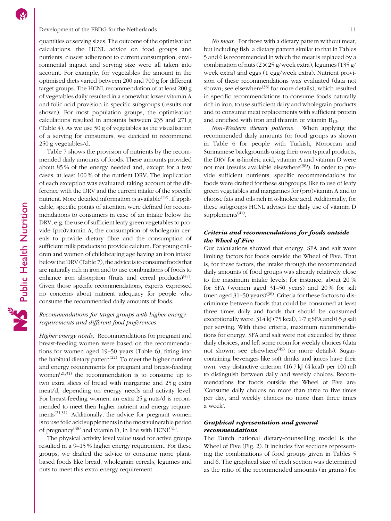#### Development of the FBDG for the Netherlands 11

quantities or serving sizes. The outcome of the optimisation calculations, the HCNL advice on food groups and nutrients, closest adherence to current consumption, environmental impact and serving size were all taken into account. For example, for vegetables the amount in the optimised diets varied between 200 and 700 g for different target groups. The HCNL recommendation of at least 200 g of vegetables daily resulted in a somewhat lower vitamin A and folic acid provision in specific subgroups (results not shown). For most population groups, the optimisation calculations resulted in amounts between 235 and 271 g (Table [4\)](#page-6-0). As we use 50 g of vegetables as the visualisation of a serving for consumers, we decided to recommend 250 g vegetables/d.

Table [7](#page-9-0) shows the provision of nutrients by the recommended daily amounts of foods. These amounts provided about 85 % of the energy needed and, except for a few cases, at least 100 % of the nutrient DRV. The implication of each exception was evaluated, taking account of the difference with the DRV and the current intake of the specific nutrient. More detailed information is available<sup>[\(38](#page-15-0))</sup>. If applicable, specific points of attention were defined for recommendations to consumers in case of an intake below the DRV, e.g. the use of sufficient leafy green vegetables to provide (pro)vitamin A, the consumption of wholegrain cereals to provide dietary fibre and the consumption of sufficient milk products to provide calcium. For young children and women of childbearing age having an iron intake below the DRV (Table [7\)](#page-9-0), the advice is to consume foods that are naturally rich in iron and to use combinations of foods to enhance iron absorption (fruits and cereal products)<sup>[\(47](#page-15-0))</sup>. Given those specific recommendations, experts expressed no concerns about nutrient adequacy for people who consume the recommended daily amounts of foods.

# Recommendations for target groups with higher energy requirements and different food preferences

Higher energy needs. Recommendations for pregnant and breast-feeding women were based on the recommendations for women aged 19–50 years (Table [6\)](#page-8-0), fitting into the habitual dietary pattern<sup> $(22)$  $(22)$ </sup>. To meet the higher nutrient and energy requirements for pregnant and breast-feeding women<sup> $(21,31)$  $(21,31)$  $(21,31)$  $(21,31)$ </sup> the recommendation is to consume up to two extra slices of bread with margarine and 25 g extra meat/d, depending on energy needs and activity level. For breast-feeding women, an extra 25 g nuts/d is recommended to meet their higher nutrient and energy requirements([21](#page-14-0),[31](#page-15-0)). Additionally, the advice for pregnant women is to use folic acid supplements in the most vulnerable period of pregnancy<sup>[\(48\)](#page-15-0)</sup> and vitamin D, in line with  $HCNL^{(41)}$  $HCNL^{(41)}$  $HCNL^{(41)}$ .

The physical activity level value used for active groups resulted in a 9–15 % higher energy requirement. For these groups, we drafted the advice to consume more plantbased foods like bread, wholegrain cereals, legumes and nuts to meet this extra energy requirement.

No meat. For those with a dietary pattern without meat, but including fish, a dietary pattern similar to that in Tables [5](#page-7-0) and [6](#page-8-0) is recommended in which the meat is replaced by a combination of nuts  $(2 \times 25 \text{ g/week extra})$ , legumes  $(135 \text{ g/}$ week extra) and eggs (1 egg/week extra). Nutrient provision of these recommendations was evaluated (data not shown; see elsewhere<sup>[\(38\)](#page-15-0)</sup> for more details), which resulted in specific recommendations to consume foods naturally rich in iron, to use sufficient dairy and wholegrain products and to consume meat replacements with sufficient protein and enriched with iron and thiamin or vitamin  $B_{12}$ .

Non-Western dietary patterns. When applying the recommended daily amounts for food groups as shown in Table [6](#page-8-0) for people with Turkish, Moroccan and Surinamese backgrounds using their own typical products, the DRV for α-linoleic acid, vitamin A and vitamin D were not met (results available elsewhere<sup>[\(38\)](#page-15-0)</sup>). In order to provide sufficient nutrients, specific recommendations for foods were drafted for these subgroups, like to use of leafy green vegetables and margarines for (pro)vitamin A and to choose fats and oils rich in α-linoleic acid. Additionally, for these subgroups HCNL advises the daily use of vitamin D supplements $(41)$  $(41)$ .

# Criteria and recommendations for foods outside the Wheel of Five

Our calculations showed that energy, SFA and salt were limiting factors for foods outside the Wheel of Five. That is, for these factors, the intake through the recommended daily amounts of food groups was already relatively close to the maximum intake levels; for instance, about 20 % for SFA (women aged 31–50 years) and 20 % for salt (men aged  $31-50$  years)<sup>[\(38\)](#page-15-0)</sup>. Criteria for these factors to discriminate between foods that could be consumed at least three times daily and foods that should be consumed exceptionally were: 314 kJ (75 kcal), 1·7 g SFA and 0·5 g salt per serving. With these criteria, maximum recommendations for energy, SFA and salt were not exceeded by three daily choices, and left some room for weekly choices (data not shown; see elsewhere<sup> $(45)$  $(45)$ </sup> for more details). Sugarcontaining beverages like soft drinks and juices have their own, very distinctive criterion (16·7 kJ (4 kcal) per 100 ml) to distinguish between daily and weekly choices. Recommendations for foods outside the Wheel of Five are: 'Consume daily choices no more than three to five times per day, and weekly choices no more than three times a week'.

# Graphical representation and general recommendations

The Dutch national dietary-counselling model is the Wheel of Five (Fig. [2](#page-11-0)). It includes five sections representing the combinations of food groups given in Tables [5](#page-7-0) and [6](#page-8-0). The graphical size of each section was determined as the ratio of the recommended amounts (in grams) for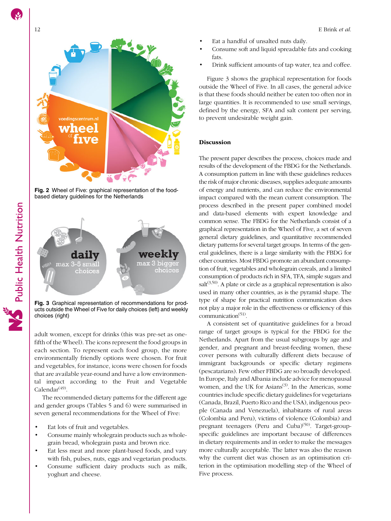<span id="page-11-0"></span>

Fig. 2 Wheel of Five: graphical representation of the foodbased dietary guidelines for the Netherlands



Fig. 3 Graphical representation of recommendations for products outside the Wheel of Five for daily choices (left) and weekly choices (right)

adult women, except for drinks (this was pre-set as onefifth of the Wheel). The icons represent the food groups in each section. To represent each food group, the more environmentally friendly options were chosen. For fruit and vegetables, for instance, icons were chosen for foods that are available year-round and have a low environmental impact according to the Fruit and Vegetable  $Calendar<sup>(49)</sup>$  $Calendar<sup>(49)</sup>$  $Calendar<sup>(49)</sup>$ .

The recommended dietary patterns for the different age and gender groups (Tables [5](#page-7-0) and [6](#page-8-0)) were summarised in seven general recommendations for the Wheel of Five:

- Eat lots of fruit and vegetables.
- Consume mainly wholegrain products such as wholegrain bread, wholegrain pasta and brown rice.
- Eat less meat and more plant-based foods, and vary with fish, pulses, nuts, eggs and vegetarian products.
- Consume sufficient dairy products such as milk, yoghurt and cheese.
- Eat a handful of unsalted nuts daily.
- Consume soft and liquid spreadable fats and cooking fats.
- Drink sufficient amounts of tap water, tea and coffee.

Figure 3 shows the graphical representation for foods outside the Wheel of Five. In all cases, the general advice is that these foods should neither be eaten too often nor in large quantities. It is recommended to use small servings, defined by the energy, SFA and salt content per serving, to prevent undesirable weight gain.

#### Discussion

The present paper describes the process, choices made and results of the development of the FBDG for the Netherlands. A consumption pattern in line with these guidelines reduces the risk of major chronic diseases, supplies adequate amounts of energy and nutrients, and can reduce the environmental impact compared with the mean current consumption. The process described in the present paper combined model and data-based elements with expert knowledge and common sense. The FBDG for the Netherlands consist of a graphical representation in the Wheel of Five, a set of seven general dietary guidelines, and quantitative recommended dietary patterns for several target groups. In terms of the general guidelines, there is a large similarity with the FBDG for other countries. Most FBDG promote an abundant consumption of fruit, vegetables and wholegrain cereals, and a limited consumption of products rich in SFA, TFA, simple sugars and  $salt<sup>(3,50)</sup>$  $salt<sup>(3,50)</sup>$  $salt<sup>(3,50)</sup>$  $salt<sup>(3,50)</sup>$  $salt<sup>(3,50)</sup>$ . A plate or circle as a graphical representation is also used in many other countries, as is the pyramid shape. The type of shape for practical nutrition communication does not play a major role in the effectiveness or efficiency of this communication $<sup>(51)</sup>$  $<sup>(51)</sup>$  $<sup>(51)</sup>$ .</sup>

A consistent set of quantitative guidelines for a broad range of target groups is typical for the FBDG for the Netherlands. Apart from the usual subgroups by age and gender, and pregnant and breast-feeding women, these cover persons with culturally different diets because of immigrant backgrounds or specific dietary regimens (pescatarians). Few other FBDG are so broadly developed. In Europe, Italy and Albania include advice for menopausal women, and the UK for Asians<sup> $(3)$  $(3)$ </sup>. In the Americas, some countries include specific dietary guidelines for vegetarians (Canada, Brazil, Puerto Rico and the USA), indigenous people (Canada and Venezuela), inhabitants of rural areas (Colombia and Peru), victims of violence (Colombia) and pregnant teenagers (Peru and Cuba)<sup>[\(50\)](#page-15-0)</sup>. Target-groupspecific guidelines are important because of differences in dietary requirements and in order to make the messages more culturally acceptable. The latter was also the reason why the current diet was chosen as an optimisation criterion in the optimisation modelling step of the Wheel of Five process.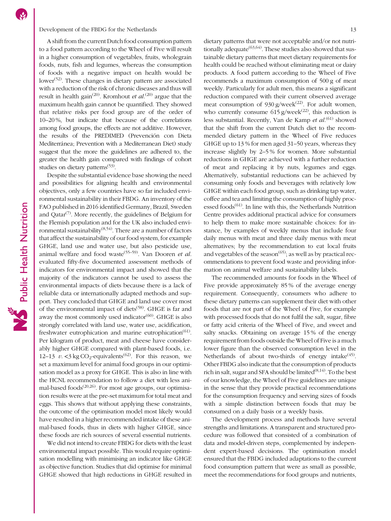A shift from the current Dutch food consumption pattern to a food pattern according to the Wheel of Five will result in a higher consumption of vegetables, fruits, wholegrain foods, nuts, fish and legumes, whereas the consumption of foods with a negative impact on health would be lower<sup> $(52)$ </sup>. These changes in dietary pattern are associated with a reduction of the risk of chronic diseases and thus will result in health gain<sup>([20](#page-14-0))</sup>. Kromhout *et al*.<sup>(20)</sup> argue that the maximum health gain cannot be quantified. They showed that relative risks per food group are of the order of 10–20 %, but indicate that because of the correlations among food groups, the effects are not additive. However, the results of the PREDIMED (Prevención con Dieta Mediterránea; Prevention with a Mediterranean Diet) study suggest that the more the guidelines are adhered to, the greater the health gain compared with findings of cohort studies on dietary patterns<sup> $(53)$  $(53)$  $(53)$ </sup>.

Despite the substantial evidence base showing the need and possibilities for aligning health and environmental objectives, only a few countries have so far included environmental sustainability in their FBDG. An inventory of the FAO published in 2016 identified Germany, Brazil, Sweden and Qatar<sup> $(7)$ </sup>. More recently, the guidelines of Belgium for the Flemish population and for the UK also included environmental sustainability<sup> $(8,54)$  $(8,54)$  $(8,54)$  $(8,54)$ </sup>. There are a number of factors that affect the sustainability of our food system, for example GHGE, land use and water use, but also pesticide use, animal welfare and food waste<sup>[\(55](#page-15-0)-[59\)](#page-15-0)</sup>. Van Dooren et al. evaluated fifty-five documented assessment methods of indicators for environmental impact and showed that the majority of the indicators cannot be used to assess the environmental impacts of diets because there is a lack of reliable data or internationally adapted methods and support. They concluded that GHGE and land use cover most of the environmental impact of diets<sup>[\(58\)](#page-15-0)</sup>. GHGE is far and away the most commonly used indicator $(60)$  $(60)$  $(60)$ . GHGE is also strongly correlated with land use, water use, acidification, freshwater eutrophication and marine eutrophication<sup>([61](#page-15-0))</sup>. Per kilogram of product, meat and cheese have considerably higher GHGE compared with plant-based foods, i.e. 12–13  $v. \leq 3 \text{ kg CO}_2$ -equivalents<sup>[\(62\)](#page-15-0)</sup>. For this reason, we set a maximum level for animal food groups in our optimisation model as a proxy for GHGE. This is also in line with the HCNL recommendation to follow a diet with less animal-based foods $(20,26)$  $(20,26)$  $(20,26)$ . For most age groups, our optimisation results were at the pre-set maximum for total meat and eggs. This shows that without applying these constraints, the outcome of the optimisation model most likely would have resulted in a higher recommended intake of these animal-based foods, thus in diets with higher GHGE, since these foods are rich sources of several essential nutrients.

We did not intend to create FBDG for diets with the least environmental impact possible. This would require optimisation modelling with minimising an indicator like GHGE as objective function. Studies that did optimise for minimal GHGE showed that high reductions in GHGE resulted in

dietary patterns that were not acceptable and/or not nutritionally adequate  $(63, 64)$ . These studies also showed that sustainable dietary patterns that meet dietary requirements for health could be reached without eliminating meat or dairy products. A food pattern according to the Wheel of Five recommends a maximum consumption of 500 g of meat weekly. Particularly for adult men, this means a significant reduction compared with their current observed average meat consumption of 930 g/week<sup>([22](#page-14-0))</sup>. For adult women, who currently consume  $615$  g/week<sup>[\(22\)](#page-14-0)</sup>, this reduction is less substantial. Recently, Van de Kamp et al.<sup>([61\)](#page-15-0)</sup> showed that the shift from the current Dutch diet to the recommended dietary pattern in the Wheel of Five reduces GHGE up to 13 % for men aged 31–50 years, whereas they increase slightly by 2–5 % for women. More substantial reductions in GHGE are achieved with a further reduction of meat and replacing it by nuts, legumes and eggs. Alternatively, substantial reductions can be achieved by consuming only foods and beverages with relatively low GHGE within each food group, such as drinking tap water, coffee and tea and limiting the consumption of highly processed foods $<sup>(61)</sup>$  $<sup>(61)</sup>$  $<sup>(61)</sup>$ . In line with this, the Netherlands Nutrition</sup> Centre provides additional practical advice for consumers to help them to make more sustainable choices: for instance, by examples of weekly menus that include four daily menus with meat and three daily menus with meat alternatives; by the recommendation to eat local fruits and vegetables of the season<sup> $(65)$  $(65)$  $(65)$ </sup>; as well as by practical recommendations to prevent food waste and providing information on animal welfare and sustainability labels.

The recommended amounts for foods in the Wheel of Five provide approximately 85 % of the average energy requirement. Consequently, consumers who adhere to these dietary patterns can supplement their diet with other foods that are not part of the Wheel of Five, for example with processed foods that do not fulfil the salt, sugar, fibre or fatty acid criteria of the Wheel of Five, and sweet and salty snacks. Obtaining on average 15 % of the energy requirement from foods outside the Wheel of Five is a much lower figure than the observed consumption level in the Netherlands of about two-thirds of energy intake $(45)$  $(45)$ . Other FBDG also indicate that the consumption of products rich in salt, sugar and SFA should be limited $(8,14)$  $(8,14)$  $(8,14)$  $(8,14)$  $(8,14)$ . To the best of our knowledge, the Wheel of Five guidelines are unique in the sense that they provide practical recommendations for the consumption frequency and serving sizes of foods with a simple distinction between foods that may be consumed on a daily basis or a weekly basis.

The development process and methods have several strengths and limitations. A transparent and structured procedure was followed that consisted of a combination of data and model-driven steps, complemented by independent expert-based decisions. The optimisation model ensured that the FBDG included adaptations to the current food consumption pattern that were as small as possible, meet the recommendations for food groups and nutrients,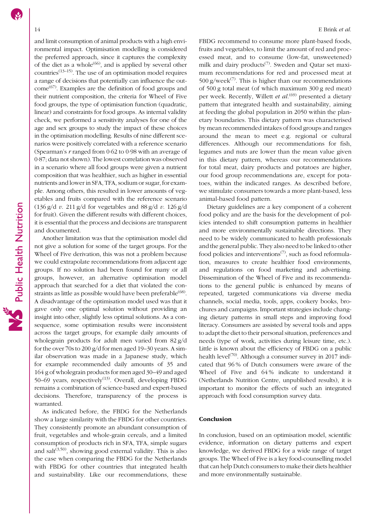and limit consumption of animal products with a high environmental impact. Optimisation modelling is considered the preferred approach, since it captures the complexity of the diet as a whole<sup> $(66)$  $(66)$ </sup>, and is applied by several other countries<sup> $(13-15)$  $(13-15)$  $(13-15)$  $(13-15)$  $(13-15)$ </sup>. The use of an optimisation model requires a range of decisions that potentially can influence the out- $come<sup>(67)</sup>$  $come<sup>(67)</sup>$  $come<sup>(67)</sup>$ . Examples are the definition of food groups and their nutrient composition, the criteria for Wheel of Five food groups, the type of optimisation function (quadratic, linear) and constraints for food groups. As internal validity check, we performed a sensitivity analyses for one of the age and sex groups to study the impact of these choices in the optimisation modelling. Results of nine different scenarios were positively correlated with a reference scenario (Spearman's r ranged from 0·62 to 0·98 with an average of 0·87; data not shown). The lowest correlation was observed in a scenario where all food groups were given a nutrient composition that was healthier, such as higher in essential nutrients and lower in SFA, TFA, sodium or sugar, for example. Among others, this resulted in lower amounts of vegetables and fruits compared with the reference scenario (136 g/d v. 211 g/d for vegetables and  $88$  g/d v. 126 g/d for fruit). Given the different results with different choices, it is essential that the process and decisions are transparent and documented.

Another limitation was that the optimisation model did not give a solution for some of the target groups. For the Wheel of Five derivation, this was not a problem because we could extrapolate recommendations from adjacent age groups. If no solution had been found for many or all groups, however, an alternative optimisation model approach that searched for a diet that violated the constraints as little as possible would have been preferable $(68)$  $(68)$ . A disadvantage of the optimisation model used was that it gave only one optimal solution without providing an insight into other, slightly less optimal solutions. As a consequence, some optimisation results were inconsistent across the target groups, for example daily amounts of wholegrain products for adult men varied from 82 g/d for the over 70s to 200 g/d for men aged 19–30 years. A similar observation was made in a Japanese study, which for example recommended daily amounts of 35 and 164 g of wholegrain products for men aged 30–49 and aged 50–69 years, respectively<sup>([13](#page-14-0))</sup>. Overall, developing FBDG remains a combination of science-based and expert-based decisions. Therefore, transparency of the process is warranted.

As indicated before, the FBDG for the Netherlands show a large similarity with the FBDG for other countries. They consistently promote an abundant consumption of fruit, vegetables and whole-grain cereals, and a limited consumption of products rich in SFA, TFA, simple sugars and salt $(3,50)$  $(3,50)$  $(3,50)$  $(3,50)$ , showing good external validity. This is also the case when comparing the FBDG for the Netherlands with FBDG for other countries that integrated health and sustainability. Like our recommendations, these FBDG recommend to consume more plant-based foods, fruits and vegetables, to limit the amount of red and processed meat, and to consume (low-fat, unsweetened) milk and dairy products<sup> $(7)$  $(7)$ </sup>. Sweden and Qatar set maximum recommendations for red and processed meat at 500 g/week<sup>[\(7\)](#page-14-0)</sup>. This is higher than our recommendations of 500 g total meat (of which maximum 300 g red meat) per week. Recently, Willett et al.<sup>([69\)](#page-16-0)</sup> presented a dietary pattern that integrated health and sustainability, aiming at feeding the global population in 2050 within the planetary boundaries. This dietary pattern was characterised by mean recommended intakes of food groups and ranges around the mean to meet e.g. regional or cultural differences. Although our recommendations for fish, legumes and nuts are lower than the mean value given in this dietary pattern, whereas our recommendations for total meat, dairy products and potatoes are higher, our food group recommendations are, except for potatoes, within the indicated ranges. As described before, we stimulate consumers towards a more plant-based, less animal-based food pattern.

Dietary guidelines are a key component of a coherent food policy and are the basis for the development of policies intended to shift consumption patterns in healthier and more environmentally sustainable directions. They need to be widely communicated to health professionals and the general public. They also need to be linked to other food policies and interventions<sup> $(7)$  $(7)$  $(7)$ </sup>, such as food reformulation, measures to create healthier food environments, and regulations on food marketing and advertising. Dissemination of the Wheel of Five and its recommendations to the general public is enhanced by means of repeated, targeted communications via diverse media channels, social media, tools, apps, cookery books, brochures and campaigns. Important strategies include changing dietary patterns in small steps and improving food literacy. Consumers are assisted by several tools and apps to adapt the diet to their personal situation, preferences and needs (type of work, activities during leisure time, etc.). Little is known about the efficiency of FBDG on a public health level<sup>[\(70\)](#page-16-0)</sup>. Although a consumer survey in 2017 indicated that 96 % of Dutch consumers were aware of the Wheel of Five and 64 % indicate to understand it (Netherlands Nutrition Centre, unpublished results), it is important to monitor the effects of such an integrated approach with food consumption survey data.

#### Conclusion

In conclusion, based on an optimisation model, scientific evidence, information on dietary patterns and expert knowledge, we derived FBDG for a wide range of target groups. The Wheel of Five is a key food-counselling model that can help Dutch consumers to make their diets healthier and more environmentally sustainable.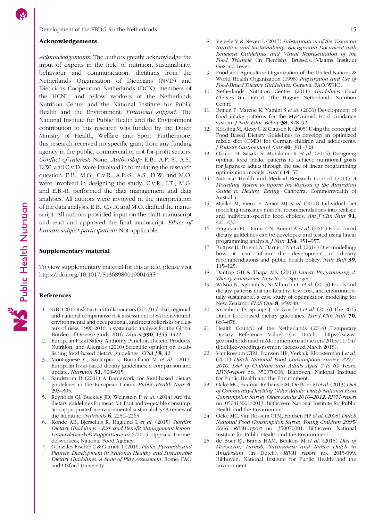#### <span id="page-14-0"></span>Acknowledgements

Acknowledgements: The authors greatly acknowledge the input of experts in the field of nutrition, sustainability, behaviour and communication, dietitians from the Netherlands Organisation of Dieticians (NVD) and Dieticians Cooperation Netherlands (DCN), members of the HCNL, and fellow workers of the Netherlands Nutrition Centre and the National Institute for Public Health and the Environment. Financial support: The National Institute for Public Health and the Environment contribution to this research was funded by the Dutch Ministry of Health, Welfare and Sport. Furthermore, this research received no specific grant from any funding agency in the public, commercial or not-for-profit sectors. Conflict of interest: None. Authorship: E.B., A.P.-S., A.S., D.W. and C.v.D. were involved in formulating the research question. E.B., M.G., C.v.R., A.P.-S., A.S., D.W. and M.O. were involved in designing the study. C.v.R., I.T., M.G. and E.B.-R. performed the data management and data analyses. All authors were involved in the interpretation of the data analysis. E.B., C.v.R. and M.O. drafted the manuscript. All authors provided input on the draft manuscript and read and approved the final manuscript. Ethics of human subject participation: Not applicable.

#### Supplementary material

To view supplementary material for this article, please visit <https://doi.org/10.1017/S1368980019001435>

#### References

- 1. GBD 2016 Risk Factors Collaborators (2017) Global, regional, and national comparative risk assessment of 84 behavioural, environmental and occupational, and metabolic risks or clusters of risks, 1990-2016: a systematic analysis for the Global Burden of Disease Study 2016. Lancet 390, 1345–1422.
- 2. European Food Safety Authority Panel on Dietetic Products, Nutrition, and Allergies (2010) Scientific opinion on establishing food-based dietary guidelines. EFSA J 8, 42.
- 3. Montagnese C, Santarpia L, Buonifacio M et al. (2015) European food-based dietary guidelines: a comparison and update. Nutrition 31, 908-915.
- Sandstrom B (2001) A framework for food-based dietary guidelines in the European Union. Public Health Nutr 4, 293–305.
- 5. Reynolds CJ, Buckley JD, Weinstein P et al. (2014) Are the dietary guidelines for meat, fat, fruit and vegetable consumption appropriate for environmental sustainability? A review of the literature. Nutrients  $6$ , 2251–2265.
- Konde AB, Bjerselius R, Haglund L et al. (2015) Swedish Dietary Guidelines – Risk and Benefit Management Report. Livsmedelsverkets Rapportserie nr 5/2015. Uppsala: Livsmedelsverkets, National Food Agency.
- 7. Gonzales Fischer C & Garnett T (2016) Plates, Pyramids and Planets; Development in National Healthy and Sustainable Dietary Guidelines: A State of Play Assessment. Rome: FAO and Oxford University.
- 8. Versele V & Neven L (2017) Substantiation of the Vision on Nutrition and Sustainability. Background Document with Renewed Guidelines and Visual Representation of the Food Triangle (in Flemish). Brussels: Vlaams Instituut Gezond Leven.
- 9. Food and Agriculture Organization of the United Nations & World Health Organization (1998) Preparation and Use of Food-Based Dietary Guidelines. Geneva: FAO/WHO.
- 10. Netherlands Nutrition Centre (2011) Guidelines Food Choices (in Dutch). The Hague: Netherlands Nutrition Centre.
- 11. Britten P, Marcoe K, Yamini S et al. (2006) Development of food intake patterns for the MyPyramid Food Guidance system. J Nutr Educ Behav 38, S78-92.
- 12. Kersting M, Alexy U & Clausen K (2005) Using the concept of Food Based Dietary Guidelines to develop an optimized mixed diet (OMD) for German children and adolescents. J Pediatr Gastroenterol Nutr 40, 301–308.
- 13. Okubo H, Sasaki S, Murakami K et al. (2015) Designing optimal food intake patterns to achieve nutritional goals for Japanese adults through the use of linear programming optimization models. Nutr J 14, 57.
- National Health and Medical Research Council (2011) A Modelling System to Inform the Revison of the Australian Guide to Healthy Eating. Canberra: Commonwealth of Australia.
- 15. Maillot M, Vieux F, Amiot MJ et al. (2010) Individual diet modeling translates nutrient recommendations into realistic and individual-specific food choices. Am J Clin Nutr 91, 421–430.
- 16. Ferguson EL, Darmon N, Briend A et al. (2004) Food-based dietary guidelines can be developed and tested using linear programming analysis. J Nutr 134, 951–957.
- 17. Buttriss JL, Briend A, Darmon N et al. (2014) Diet modelling: how it can inform the development of dietary recommendations and public health policy. Nutr Bull 39, 115–125.
- 18. Dantzig GB & Thapa MN (2003) Linear Programming 2. Theory Extensions. New York: Springer.
- 19. Wilson N, Nghiem N, Ni Mhurchu C et al. (2013) Foods and dietary patterns that are healthy, low-cost, and environmentally sustainable: a case study of optimization modeling for New Zealand. PLoS One 8, e59648.
- 20. Kromhout D, Spaaij CJ, de Goede J et al. (2016) The 2015 Dutch food-based dietary guidelines. Eur J Clin Nutr 70, 869–878.
- 21. Health Council of the Netherlands (2014) Temporary Dietary Reference Values (in Dutch). [https://www.](https://www.gezondheidsraad.nl/documenten/adviezen/2015/11/04/tijdelijke-voedingsnormen) [gezondheidsraad.nl/documenten/adviezen/2015/11/04/](https://www.gezondheidsraad.nl/documenten/adviezen/2015/11/04/tijdelijke-voedingsnormen) [tijdelijke-voedingsnormen](https://www.gezondheidsraad.nl/documenten/adviezen/2015/11/04/tijdelijke-voedingsnormen) (accessed March 2018).
- 22. Van Rossum CTM, Fransen HP, Verkaik-Kloosterman J et al. (2011) Dutch National Food Consumption Survey 2007– 2010: Diet of Children and Adults Aged 7 to 69 Years. RIVM-report no. 350070006. Bilthoven: National Institute for Public Health and the Environment.
- 23. Ocké MC, Buurma-Rethans EJM, De Boer EJ et al. (2013) Diet of Community-Dwelling Older Adults: Dutch National Food Consumption Survey Older Adults 2010–2012. RIVM-report no. 050413001/2013. Bilthoven: National Institute for Public Health and the Environment.
- 24. Ocké MC, Van Rossum CTM, Fransen HP et al. (2008) Dutch National Food Consumption Survey Young Children 2005/ 2006. RIVM-report no. 350070001. Bilthoven: National Institute for Public Health and the Environment.
- 25. de Boer EJ, Brants HAM, Beukers M et al. (2015) Diet of Moroccan, Turkish, Surinamese and Native Dutch in Amsterdam (in Dutch). RIVM report no. 2015-099. Bilthoven: National Institute for Public Health and the Environment.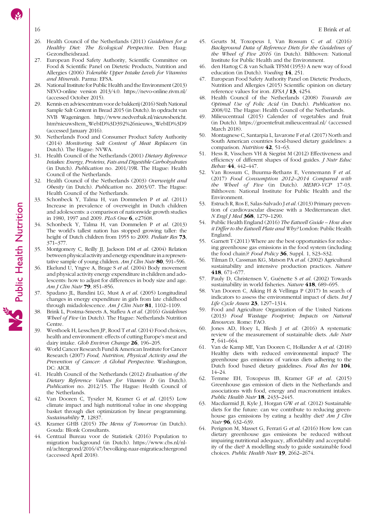- <span id="page-15-0"></span>
- 26. Health Council of the Netherlands (2011) Guidelines for a Healthy Diet: The Ecological Perspective. Den Haag: Gezondheidsraad.
- 27. European Food Safety Authority, Scientific Committee on Food & Scientific Panel on Dietetic Products, Nutrition and Allergies (2006) Tolerable Upper Intake Levels for Vitamins and Minerals. Parma: EFSA.
- 28. National Institute for Public Health and the Environment (2013) NEVO-online version 2013/4.0.<https://nevo-online.rivm.nl/> (accessed October 2015).
- 29. Kennis en adviescentrum voor de bakkerij (2016) Sixth National Sample Salt Content in Bread 2015 (in Dutch). In opdracht van NVB Wageningen. [http://www.nedverbak.nl/nieuwsbericht.](http://www.nedverbak.nl/nieuwsbericht.htm?nieuwsItem_WebID%3D392%26nieuws_WebID%3D9) [htm?nieuwsItem\\_WebID%3D392%26nieuws\\_WebID%3D9](http://www.nedverbak.nl/nieuwsbericht.htm?nieuwsItem_WebID%3D392%26nieuws_WebID%3D9) (accessed January 2016).
- 30. Netherlands Food and Consumer Product Safety Authority (2014) Monitoring Salt Content of Meat Replacers (in Dutch). The Hague: NVWA.
- 31. Health Council of the Netherlands (2001) Dietary Reference Intakes: Energy, Proteins, Fats and Digestible Carbohydrates (in Dutch). Publication no. 2001/19R. The Hague: Health Council of the Netherlands.
- 32. Health Council of the Netherlands (2003) Overweight and Obesity (in Dutch). Publication no. 2003/07. The Hague: Health Council of the Netherlands.
- 33. Schonbeck Y, Talma H, van Dommelen P et al. (2011) Increase in prevalence of overweight in Dutch children and adolescents: a comparison of nationwide growth studies in 1980, 1997 and 2009. PLoS One 6, e27608.
- 34. Schonbeck Y, Talma H, van Dommelen P et al. (2013) The world's tallest nation has stopped growing taller: the height of Dutch children from 1955 to 2009. Pediatr Res 73, 371–377.
- Montgomery C, Reilly JJ, Jackson DM et al. (2004) Relation between physical activity and energy expenditure in a representative sample of young children. Am J Clin Nutr 80, 591-596.
- Ekelund U, Yngve A, Brage S et al. (2004) Body movement and physical activity energy expenditure in children and adolescents: how to adjust for differences in body size and age. Am J Clin Nutr 79, 851–856.
- 37. Spadano JL, Bandini LG, Must A et al. (2005) Longitudinal changes in energy expenditure in girls from late childhood through midadolescence. Am J Clin Nutr 81, 1102-1109.
- 38. Brink L, Postma-Smeets A, Stafleu A et al. (2016) Guidelines Wheel of Five (in Dutch). The Hague: Netherlands Nutrition Centre.
- 39. Westhoek H, Lesschen JP, Rood T et al. (2014) Food choices, health and environment: effects of cutting Europe's meat and dairy intake. Glob Environ Change 26, 196-205.
- World Cancer Research Fund & American Institute for Cancer Research (2007) Food, Nutrition, Physical Activity and the Prevention of Cancer: A Global Perspective. Washington, DC: AICR.
- 41. Health Council of the Netherlands (2012) Evaluation of the Dietary Reference Values for Vitamin D (in Dutch). Publication no. 2012/15. The Hague: Health Council of the Netherlands.
- 42. Van Dooren C, Tyszler M, Kramer G et al. (2015) Low climate impact and high nutritional value in one shopping basket through diet optimization by linear programming. Sustainability **7**, 12837.
- 43. Kramer GHB (2015) The Menu of Tomorrow (in Dutch). Gouda: Blonk Consultants.
- 44. Centraal Bureau voor de Statistiek (2016) Population to migration background (in Dutch). [https://www.cbs.nl/nl](https://www.cbs.nl/nl-nl/achtergrond/2016/47/bevolking-naar-migratieachtergrond)[nl/achtergrond/2016/47/bevolking-naar-migratieachtergrond](https://www.cbs.nl/nl-nl/achtergrond/2016/47/bevolking-naar-migratieachtergrond) (accessed April 2018).
- 45. Geurts M, Toxopeus I, Van Rossum C et al. (2016) Background Data of Reference Diets for the Guidelines of the Wheel of Five 2016 (in Dutch). Bilthoven: National Institute for Public Health and the Environment.
- 46. den Hartog C & van Schaik TFSM (1953) A new way of food education (in Dutch). Voeding 14, 251.
- 47. European Food Safety Authority Panel on Dietetic Products, Nutrition and Allergies (2015) Scientific opinion on dietary reference values for iron. EFSA  $I$  13, 4254.
- 48. Health Council of the Netherlands (2008) Towards an Optimal Use of Folic Acid (in Dutch). Publication no. 2008/02. The Hague: Health Council of the Netherlands.
- Milieucentraal (2015) Calender of vegetables and fruit (in Dutch).<https://groentefruit.milieucentraal.nl/> (accessed March 2018).
- Montagnese C, Santarpia L, Iavarone F et al. (2017) North and South American countries food-based dietary guidelines: a comparison. Nutrition 42, 51–63.
- 51. Hess R, Visschers VH & Siegrist M (2012) Effectiveness and efficiency of different shapes of food guides. J Nutr Educ Behav 44, 442–447.
- 52. Van Rossum C, Buurma-Rethans E, Vennemann F et al. (2017) Food Consumption 2012–2014 Compared with the Wheel of Five (in Dutch). MEMO-VCP 17-03. Bilthoven: National Institute for Public Health and the Environment.
- 53. Estruch R, Ros E, Salas-Salvado J et al. (2013) Primary prevention of cardiovascular disease with a Mediterranean diet. N Engl J Med 368, 1279–1290.
- 54. Public Health England (2016) The Eatwell Guide How does it Differ to the Eatwell Plate and Why? London: Public Health England.
- 55. Garnett T (2011) Where are the best opportunities for reducing greenhouse gas emissions in the food system (including the food chain)? Food Policy 36, Suppl. 1, S23–S32.
- Tilman D, Cassman KG, Matson PA et al. (2002) Agricultural sustainability and intensive production practices. Nature 418, 671–677.
- 57. Pauly D, Christensen V, Guénette S et al. (2002) Towards sustainability in world fisheries. Nature 418, 689-695.
- 58. Van Dooren C, Aiking H & Vellinga P (2017) In search of indicators to assess the environmental impact of diets. Int J Life Cycle Assess 23, 1297-1314.
- 59. Food and Agriculture Organization of the United Nations (2013) Food Wastage Footprint; Impacts on Natural Resources. Rome: FAO.
- 60. Jones AD, Hoey L, Blesh J et al. (2016) A systematic review of the measurement of sustainable diets. Adv Nutr 7, 641–664.
- 61. Van de Kamp ME, Van Dooren C, Hollander A et al. (2018) Healthy diets with reduced environmental impact? The greenhouse gas emissions of various diets adhering to the Dutch food based dietary guidelines. Food Res Int 104, 14–24.
- 62. Temme EH, Toxopeus IB, Kramer GF et al. (2015) Greenhouse gas emission of diets in the Netherlands and associations with food, energy and macronutrient intakes. Public Health Nutr 18, 2433-2445.
- 63. Macdiarmid JI, Kyle J, Horgan GW et al. (2012) Sustainable diets for the future: can we contribute to reducing greenhouse gas emissions by eating a healthy diet? Am J Clin Nutr 96, 632-639.
- 64. Perignon M, Masset G, Ferrari G et al. (2016) How low can dietary greenhouse gas emissions be reduced without impairing nutritional adequacy, affordability and acceptability of the diet? A modelling study to guide sustainable food choices. Public Health Nutr 19, 2662–2674.